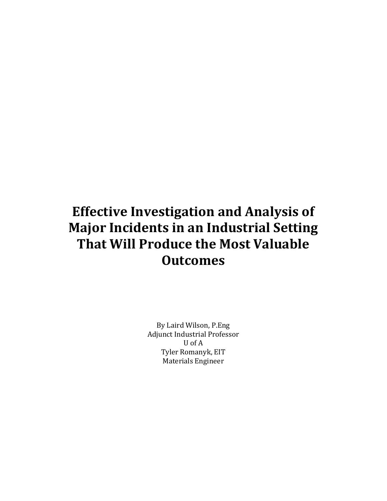#### Effective Investigation and Analysis of Major Incidents in an Industrial Setting That Will Produce the Most Valuable **Outcomes**

By Laird Wilson, P.Eng Adjunct Industrial Professor U of A Tyler Romanyk, EIT Materials Engineer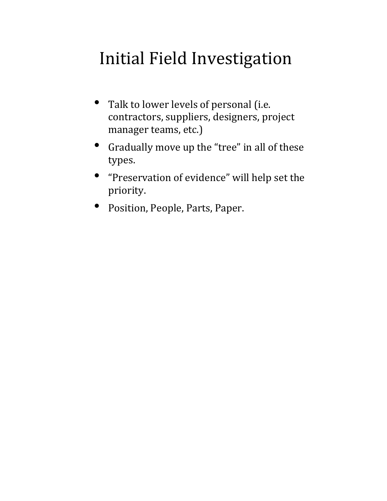# Initial Field Investigation

- Talk to lower levels of personal (i.e. contractors, suppliers, designers, project manager teams, etc.)
- Gradually move up the "tree" in all of these types.
- "Preservation of evidence" will help set the priority.
- Position, People, Parts, Paper.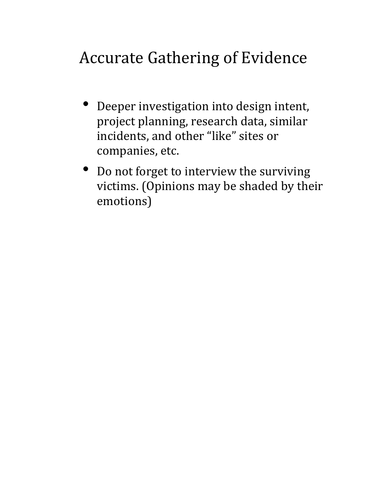# Accurate Gathering of Evidence

- Deeper investigation into design intent, project planning, research data, similar incidents, and other "like" sites or companies, etc.
- Do not forget to interview the surviving victims. (Opinions may be shaded by their emotions)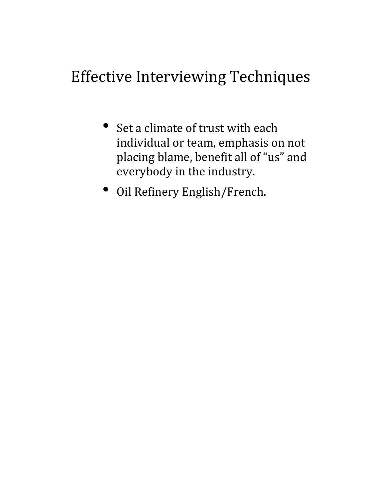#### Effective Interviewing Techniques

- Set a climate of trust with each individual or team, emphasis on not placing blame, benefit all of "us" and everybody in the industry.
- Oil Refinery English/French.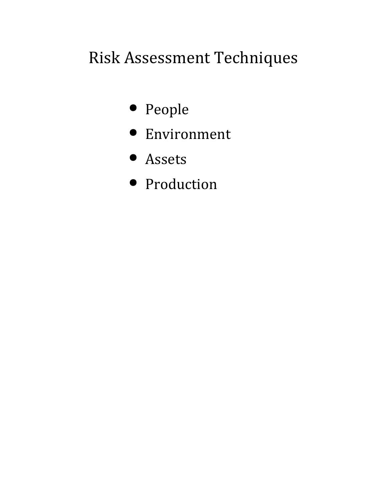# Risk Assessment Techniques

- People
- Environment
- Assets
- Production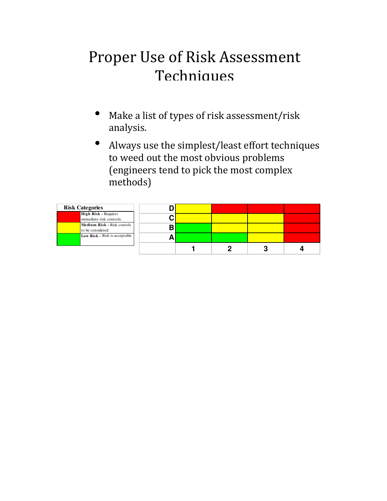#### Proper Use of Risk Assessment **Techniques**

- Make a list of types of risk assessment/risk analysis.
- Always use the simplest/least effort techniques to weed out the most obvious problems (engineers tend to pick the most complex methods)

| <b>Risk Categories</b>                                  |  |  |  |
|---------------------------------------------------------|--|--|--|
| <b>High Risk - Requires</b><br>immediate risk controls. |  |  |  |
| Medium Risk - Risk contols<br>to be considered.         |  |  |  |
| Low Risk - Risk is acceptable                           |  |  |  |
|                                                         |  |  |  |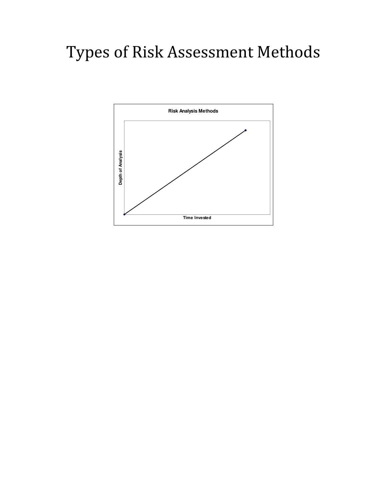# Types of Risk Assessment Methods

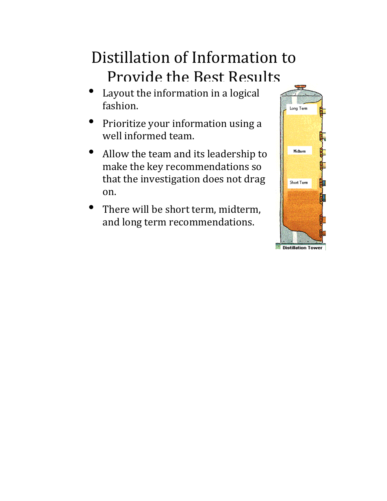#### Distillation of Information to Provide the Best Results

- Layout the information in a logical fashion.
- Prioritize your information using a well informed team.
- Allow the team and its leadership to make the key recommendations so that the investigation does not drag on.
- There will be short term, midterm, and long term recommendations.

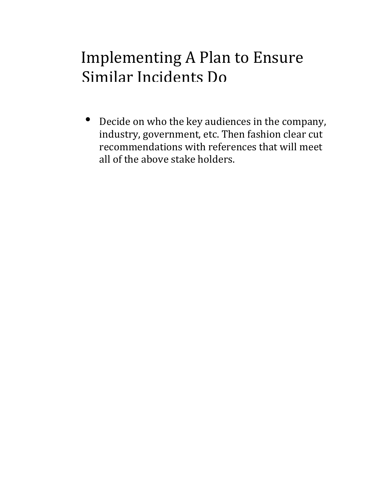#### Implementing A Plan to Ensure Similar Incidents Do

• Decide on who the key audiences in the company, industry, government, etc. Then fashion clear cut recommendations with references that will meet all of the above stake holders.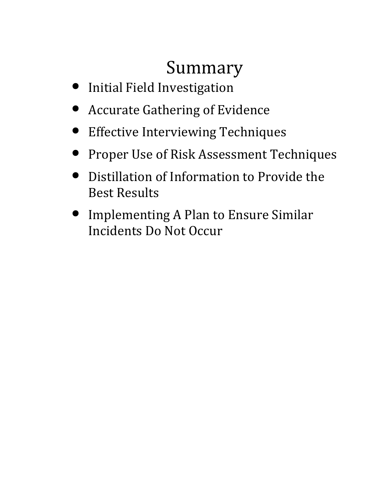# Summary

- Initial Field Investigation
- Accurate Gathering of Evidence
- Effective Interviewing Techniques
- Proper Use of Risk Assessment Techniques
- Distillation of Information to Provide the Best Results
- Implementing A Plan to Ensure Similar Incidents Do Not Occur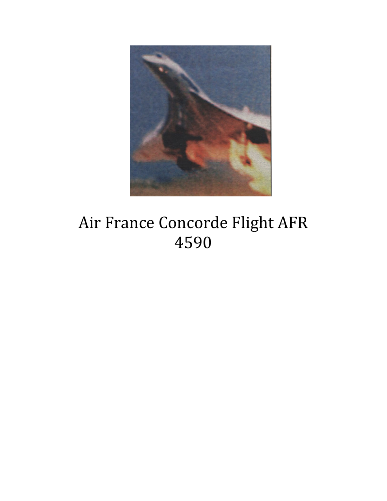

# Air France Concorde Flight AFR 4590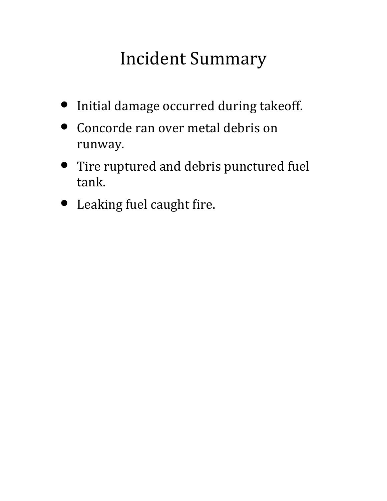# Incident Summary

- Initial damage occurred during takeoff.
- Concorde ran over metal debris on runway.
- Tire ruptured and debris punctured fuel tank.
- Leaking fuel caught fire.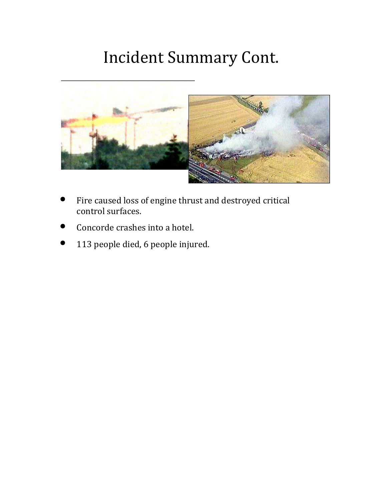# Incident Summary Cont.



- Fire caused loss of engine thrust and destroyed critical control surfaces.
- Concorde crashes into a hotel.
- 113 people died, 6 people injured.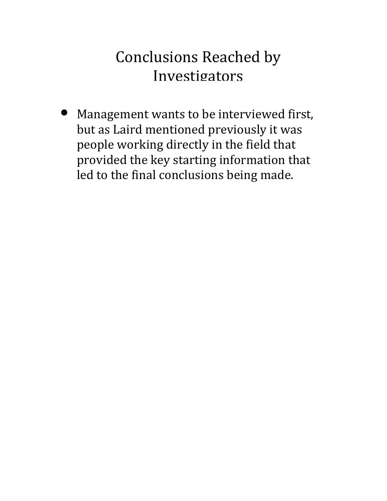#### Conclusions Reached by Investigators

• Management wants to be interviewed first, but as Laird mentioned previously it was people working directly in the field that provided the key starting information that led to the final conclusions being made.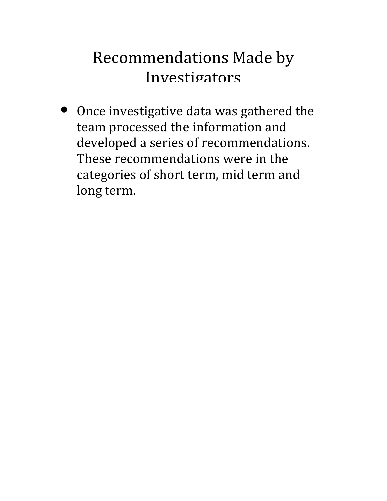### Recommendations Made by Investigators

• Once investigative data was gathered the team processed the information and developed a series of recommendations. These recommendations were in the categories of short term, mid term and long term.